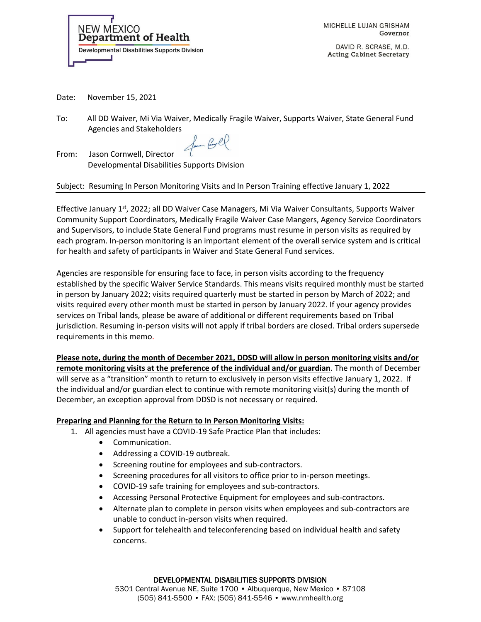

MICHELLE LUJAN GRISHAM Governor

DAVID R. SCRASE, M.D. **Acting Cabinet Secretary** 

Date: November 15, 2021

To: All DD Waiver, Mi Via Waiver, Medically Fragile Waiver, Supports Waiver, State General Fund Agencies and Stakeholders

Som Cooll

From: Jason Cornwell, Director Developmental Disabilities Supports Division

# Subject: Resuming In Person Monitoring Visits and In Person Training effective January 1, 2022

Effective January 1<sup>st</sup>, 2022; all DD Waiver Case Managers, Mi Via Waiver Consultants, Supports Waiver Community Support Coordinators, Medically Fragile Waiver Case Mangers, Agency Service Coordinators and Supervisors, to include State General Fund programs must resume in person visits as required by each program. In-person monitoring is an important element of the overall service system and is critical for health and safety of participants in Waiver and State General Fund services.

Agencies are responsible for ensuring face to face, in person visits according to the frequency established by the specific Waiver Service Standards. This means visits required monthly must be started in person by January 2022; visits required quarterly must be started in person by March of 2022; and visits required every other month must be started in person by January 2022. If your agency provides services on Tribal lands, please be aware of additional or different requirements based on Tribal jurisdiction. Resuming in-person visits will not apply if tribal borders are closed. Tribal orders supersede requirements in this memo.

**Please note, during the month of December 2021, DDSD will allow in person monitoring visits and/or remote monitoring visits at the preference of the individual and/or guardian**. The month of December will serve as a "transition" month to return to exclusively in person visits effective January 1, 2022. If the individual and/or guardian elect to continue with remote monitoring visit(s) during the month of December, an exception approval from DDSD is not necessary or required.

#### **Preparing and Planning for the Return to In Person Monitoring Visits:**

- 1. All agencies must have a COVID-19 Safe Practice Plan that includes:
	- Communication.
	- Addressing a COVID-19 outbreak.
	- Screening routine for employees and sub-contractors.
	- Screening procedures for all visitors to office prior to in-person meetings.
	- COVID-19 safe training for employees and sub-contractors.
	- Accessing Personal Protective Equipment for employees and sub-contractors.
	- Alternate plan to complete in person visits when employees and sub-contractors are unable to conduct in-person visits when required.
	- Support for telehealth and teleconferencing based on individual health and safety concerns.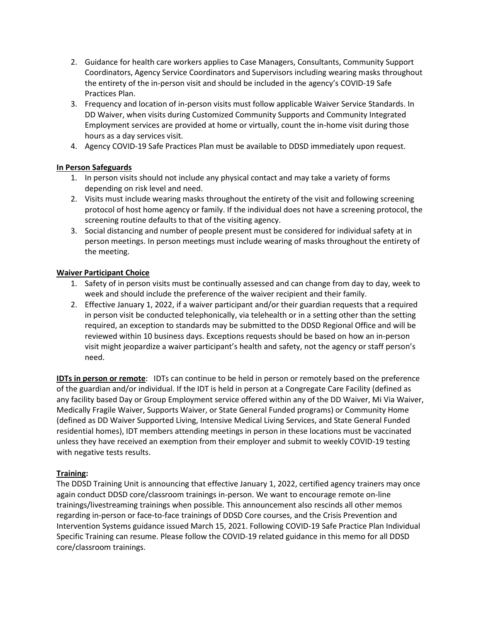- 2. Guidance for health care workers applies to Case Managers, Consultants, Community Support Coordinators, Agency Service Coordinators and Supervisors including wearing masks throughout the entirety of the in-person visit and should be included in the agency's COVID-19 Safe Practices Plan.
- 3. Frequency and location of in-person visits must follow applicable Waiver Service Standards. In DD Waiver, when visits during Customized Community Supports and Community Integrated Employment services are provided at home or virtually, count the in-home visit during those hours as a day services visit.
- 4. Agency COVID-19 Safe Practices Plan must be available to DDSD immediately upon request.

# **In Person Safeguards**

- 1. In person visits should not include any physical contact and may take a variety of forms depending on risk level and need.
- 2. Visits must include wearing masks throughout the entirety of the visit and following screening protocol of host home agency or family. If the individual does not have a screening protocol, the screening routine defaults to that of the visiting agency.
- 3. Social distancing and number of people present must be considered for individual safety at in person meetings. In person meetings must include wearing of masks throughout the entirety of the meeting.

## **Waiver Participant Choice**

- 1. Safety of in person visits must be continually assessed and can change from day to day, week to week and should include the preference of the waiver recipient and their family.
- 2. Effective January 1, 2022, if a waiver participant and/or their guardian requests that a required in person visit be conducted telephonically, via telehealth or in a setting other than the setting required, an exception to standards may be submitted to the DDSD Regional Office and will be reviewed within 10 business days. Exceptions requests should be based on how an in-person visit might jeopardize a waiver participant's health and safety, not the agency or staff person's need.

**IDTs in person or remote**: IDTs can continue to be held in person or remotely based on the preference of the guardian and/or individual. If the IDT is held in person at a Congregate Care Facility (defined as any facility based Day or Group Employment service offered within any of the DD Waiver, Mi Via Waiver, Medically Fragile Waiver, Supports Waiver, or State General Funded programs) or Community Home (defined as DD Waiver Supported Living, Intensive Medical Living Services, and State General Funded residential homes), IDT members attending meetings in person in these locations must be vaccinated unless they have received an exemption from their employer and submit to weekly COVID-19 testing with negative tests results.

#### **Training:**

The DDSD Training Unit is announcing that effective January 1, 2022, certified agency trainers may once again conduct DDSD core/classroom trainings in-person. We want to encourage remote on-line trainings/livestreaming trainings when possible. This announcement also rescinds all other memos regarding in-person or face-to-face trainings of DDSD Core courses, and the Crisis Prevention and Intervention Systems guidance issued March 15, 2021. Following COVID-19 Safe Practice Plan Individual Specific Training can resume. Please follow the COVID-19 related guidance in this memo for all DDSD core/classroom trainings.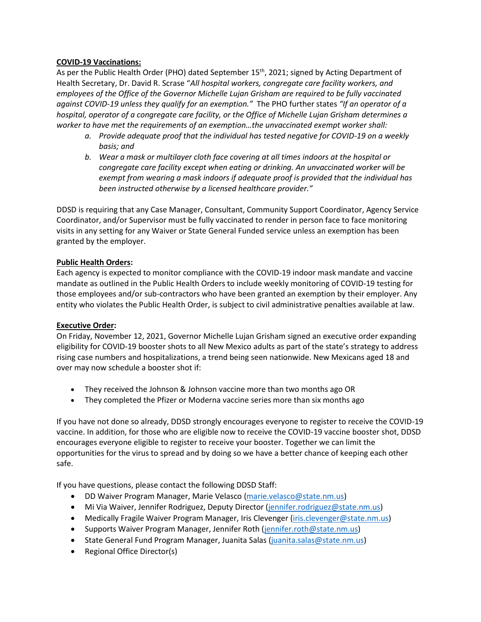## **COVID-19 Vaccinations:**

As per the Public Health Order (PHO) dated September 15<sup>th</sup>, 2021; signed by Acting Department of Health Secretary, Dr. David R. Scrase "*All hospital workers, congregate care facility workers, and employees of the Office of the Governor Michelle Lujan Grisham are required to be fully vaccinated against COVID-19 unless they qualify for an exemption."* The PHO further states *"If an operator of a hospital, operator of a congregate care facility, or the Office of Michelle Lujan Grisham determines a worker to have met the requirements of an exemption…the unvaccinated exempt worker shall:* 

- *a. Provide adequate proof that the individual has tested negative for COVID-19 on a weekly basis; and*
- *b. Wear a mask or multilayer cloth face covering at all times indoors at the hospital or congregate care facility except when eating or drinking. An unvaccinated worker will be exempt from wearing a mask indoors if adequate proof is provided that the individual has been instructed otherwise by a licensed healthcare provider."*

DDSD is requiring that any Case Manager, Consultant, Community Support Coordinator, Agency Service Coordinator, and/or Supervisor must be fully vaccinated to render in person face to face monitoring visits in any setting for any Waiver or State General Funded service unless an exemption has been granted by the employer.

## **Public Health Orders:**

Each agency is expected to monitor compliance with the COVID-19 indoor mask mandate and vaccine mandate as outlined in the Public Health Orders to include weekly monitoring of COVID-19 testing for those employees and/or sub-contractors who have been granted an exemption by their employer. Any entity who violates the Public Health Order, is subject to civil administrative penalties available at law.

#### **Executive Order:**

On Friday, November 12, 2021, Governor Michelle Lujan Grisham signed an executive order expanding eligibility for COVID-19 booster shots to all New Mexico adults as part of the state's strategy to address rising case numbers and hospitalizations, a trend being seen nationwide. New Mexicans aged 18 and over may now schedule a booster shot if:

- They received the Johnson & Johnson vaccine more than two months ago OR
- They completed the Pfizer or Moderna vaccine series more than six months ago

If you have not done so already, DDSD strongly encourages everyone to register to receive the COVID-19 vaccine. In addition, for those who are eligible now to receive the COVID-19 vaccine booster shot, DDSD encourages everyone eligible to register to receive your booster. Together we can limit the opportunities for the virus to spread and by doing so we have a better chance of keeping each other safe.

If you have questions, please contact the following DDSD Staff:

- DD Waiver Program Manager, Marie Velasco [\(marie.velasco@state.nm.us\)](mailto:marie.velasco@state.nm.us)
- Mi Via Waiver, Jennifer Rodriguez, Deputy Director [\(jennifer.rodriguez@state.nm.us\)](mailto:jennifer.rodriguez@state.nm.us)
- Medically Fragile Waiver Program Manager, Iris Clevenger [\(iris.clevenger@state.nm.us\)](mailto:iris.clevenger@state.nm.us)
- Supports Waiver Program Manager, Jennifer Roth [\(jennifer.roth@state.nm.us\)](mailto:jennifer.roth@state.nm.us)
- State General Fund Program Manager, Juanita Salas [\(juanita.salas@state.nm.us\)](mailto:juanita.salas@state.nm.us)
- Regional Office Director(s)